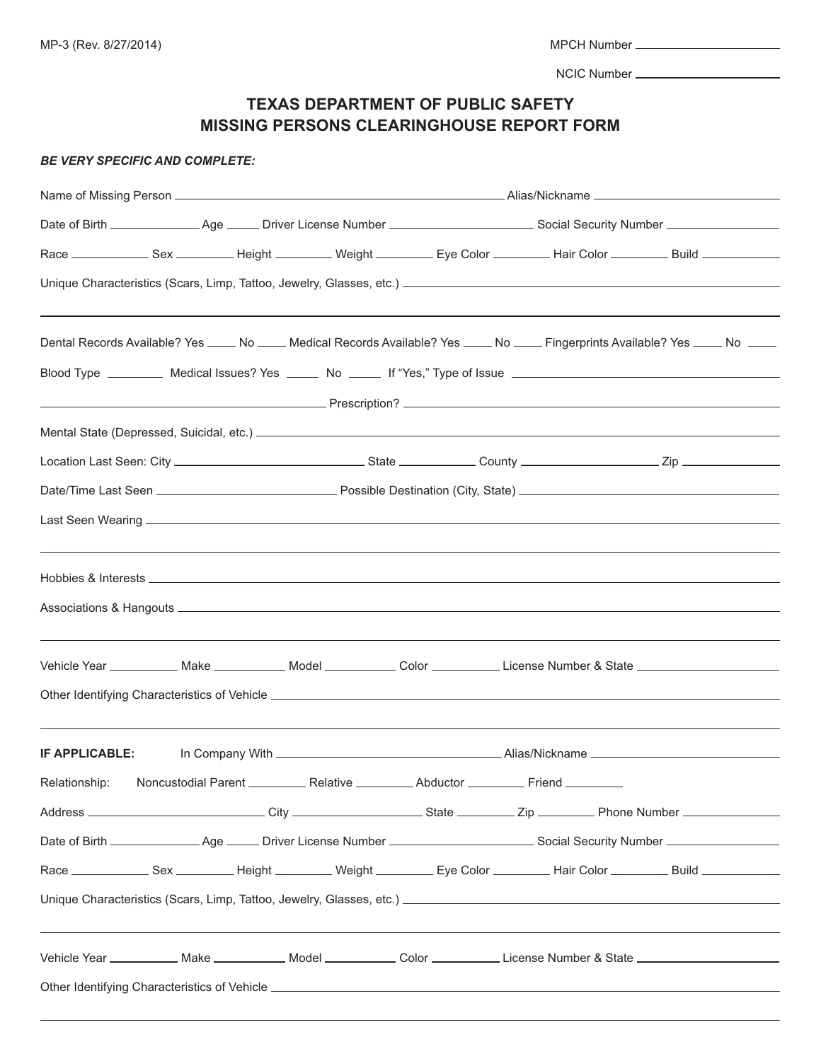|--|

NCIC Number

# **TEXAS DEPARTMENT OF PUBLIC SAFETY MISSING PERSONS CLEARINGHOUSE REPORT FORM**

#### *BE VERY SPECIFIC AND COMPLETE:*

|                                                                                                      | ,我们也不能会有什么。""我们的人,我们也不能会有什么?""我们的人,我们也不能会有什么?""我们的人,我们也不能会有什么?""我们的人,我们也不能会有什么?""<br>Dental Records Available? Yes ____ No ____ Medical Records Available? Yes ____ No ____ Fingerprints Available? Yes ____ No ____ |
|------------------------------------------------------------------------------------------------------|----------------------------------------------------------------------------------------------------------------------------------------------------------------------------------------------------------------------|
|                                                                                                      |                                                                                                                                                                                                                      |
|                                                                                                      |                                                                                                                                                                                                                      |
|                                                                                                      |                                                                                                                                                                                                                      |
|                                                                                                      |                                                                                                                                                                                                                      |
|                                                                                                      |                                                                                                                                                                                                                      |
|                                                                                                      |                                                                                                                                                                                                                      |
|                                                                                                      |                                                                                                                                                                                                                      |
|                                                                                                      |                                                                                                                                                                                                                      |
|                                                                                                      |                                                                                                                                                                                                                      |
|                                                                                                      |                                                                                                                                                                                                                      |
|                                                                                                      | Vehicle Year ____________ Make _____________ Model ______________ Color _____________License Number & State __________________________                                                                               |
|                                                                                                      |                                                                                                                                                                                                                      |
|                                                                                                      |                                                                                                                                                                                                                      |
| IF APPLICABLE:                                                                                       |                                                                                                                                                                                                                      |
| Relationship: Noncustodial Parent _____________ Relative ____________ Abductor ___________ Friend __ |                                                                                                                                                                                                                      |
|                                                                                                      |                                                                                                                                                                                                                      |
|                                                                                                      |                                                                                                                                                                                                                      |
|                                                                                                      | Race ________________ Sex ____________ Height ___________ Weight ___________ Eye Color ___________ Hair Color ___________ Build ____________                                                                         |
|                                                                                                      |                                                                                                                                                                                                                      |
|                                                                                                      |                                                                                                                                                                                                                      |
|                                                                                                      | Vehicle Year ____________ Make _____________ Model _____________ Color ____________License Number & State ____________________________                                                                               |
|                                                                                                      |                                                                                                                                                                                                                      |
|                                                                                                      |                                                                                                                                                                                                                      |